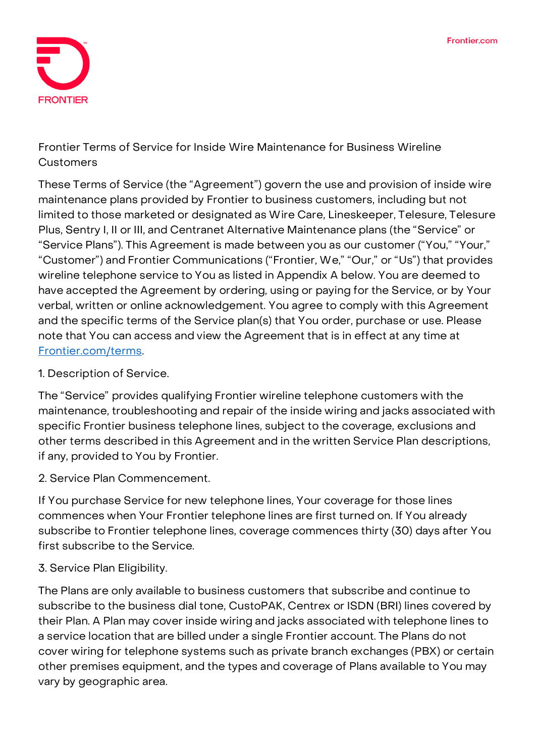

**Frontier Terms of Service for Inside Wire Maintenance for Business Wireline Customers**

These Terms of Service (the "Agreement") govern the use and provision of inside wire maintenance plans provided by Frontier to business customers, including but not limited to those marketed or designated as Wire Care, Lineskeeper, Telesure, Telesure Plus, Sentry I, II or III, and Centranet Alternative Maintenance plans (the "Service" or "Service Plans"). This Agreement is made between you as our customer ("You," "Your," "Customer") and Frontier Communications ("Frontier, We," "Our," or "Us") that provides wireline telephone service to You as listed in Appendix A below. You are deemed to have accepted the Agreement by ordering, using or paying for the Service, or by Your verbal, written or online acknowledgement. You agree to comply with this Agreement and the specific terms of the Service plan(s) that You order, purchase or use. Please note that You can access and view the Agreement that is in effect at any time at **[Frontier.com/terms](https://frontier.com/corporate/terms)**.

#### **1. Description of Service.**

The "Service" provides qualifying Frontier wireline telephone customers with the maintenance, troubleshooting and repair of the inside wiring and jacks associated with specific Frontier business telephone lines, subject to the coverage, exclusions and other terms described in this Agreement and in the written Service Plan descriptions, if any, provided to You by Frontier.

#### **2. Service Plan Commencement.**

If You purchase Service for new telephone lines, Your coverage for those lines commences when Your Frontier telephone lines are first turned on. If You already subscribe to Frontier telephone lines, coverage commences thirty (30) days after You first subscribe to the Service.

#### **3. Service Plan Eligibility.**

The Plans are only available to business customers that subscribe and continue to subscribe to the business dial tone, CustoPAK, Centrex or ISDN (BRI) lines covered by their Plan. A Plan may cover inside wiring and jacks associated with telephone lines to a service location that are billed under a single Frontier account. The Plans do not cover wiring for telephone systems such as private branch exchanges (PBX) or certain other premises equipment, and the types and coverage of Plans available to You may vary by geographic area.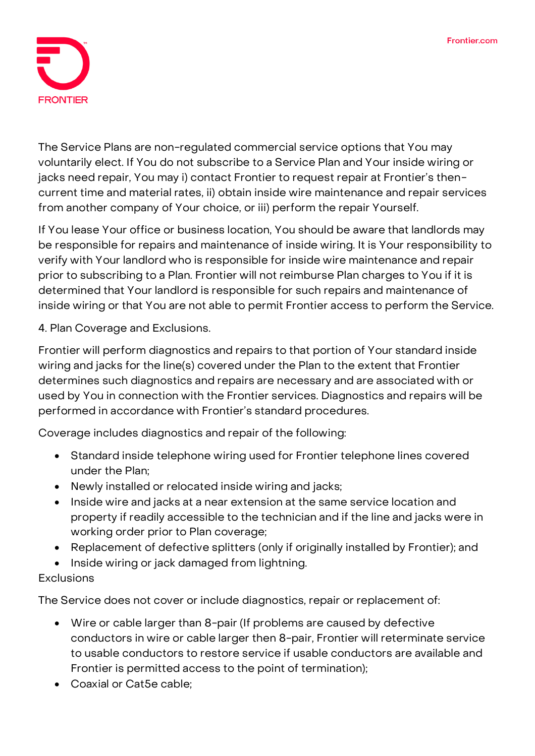

The Service Plans are non-regulated commercial service options that You may voluntarily elect. If You do not subscribe to a Service Plan and Your inside wiring or jacks need repair, You may i) contact Frontier to request repair at Frontier's thencurrent time and material rates, ii) obtain inside wire maintenance and repair services from another company of Your choice, or iii) perform the repair Yourself.

If You lease Your office or business location, You should be aware that landlords may be responsible for repairs and maintenance of inside wiring. It is Your responsibility to verify with Your landlord who is responsible for inside wire maintenance and repair prior to subscribing to a Plan. Frontier will not reimburse Plan charges to You if it is determined that Your landlord is responsible for such repairs and maintenance of inside wiring or that You are not able to permit Frontier access to perform the Service.

**4. Plan Coverage and Exclusions.**

Frontier will perform diagnostics and repairs to that portion of Your standard inside wiring and jacks for the line(s) covered under the Plan to the extent that Frontier determines such diagnostics and repairs are necessary and are associated with or used by You in connection with the Frontier services. Diagnostics and repairs will be performed in accordance with Frontier's standard procedures.

**Coverage includes** diagnostics and repair of the following:

- Standard inside telephone wiring used for Frontier telephone lines covered under the Plan;
- Newly installed or relocated inside wiring and jacks;
- Inside wire and jacks at a near extension at the same service location and property if readily accessible to the technician and if the line and jacks were in working order prior to Plan coverage;
- Replacement of defective splitters (only if originally installed by Frontier); and
- Inside wiring or jack damaged from lightning.

# **Exclusions**

The Service does not cover or include diagnostics, repair or replacement of:

- Wire or cable larger than 8-pair (If problems are caused by defective conductors in wire or cable larger then 8-pair, Frontier will reterminate service to usable conductors to restore service if usable conductors are available and Frontier is permitted access to the point of termination);
- Coaxial or Cat5e cable;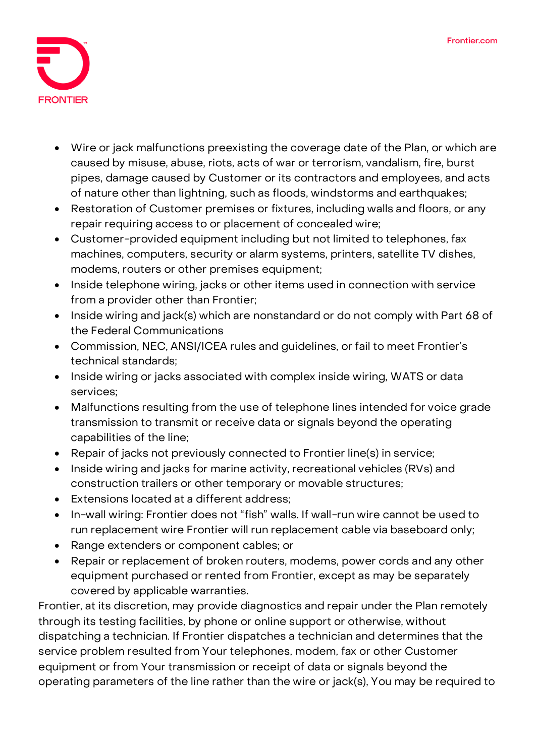

- Wire or jack malfunctions preexisting the coverage date of the Plan, or which are caused by misuse, abuse, riots, acts of war or terrorism, vandalism, fire, burst pipes, damage caused by Customer or its contractors and employees, and acts of nature other than lightning, such as floods, windstorms and earthquakes;
- Restoration of Customer premises or fixtures, including walls and floors, or any repair requiring access to or placement of concealed wire;
- Customer-provided equipment including but not limited to telephones, fax machines, computers, security or alarm systems, printers, satellite TV dishes, modems, routers or other premises equipment;
- Inside telephone wiring, jacks or other items used in connection with service from a provider other than Frontier;
- Inside wiring and jack(s) which are nonstandard or do not comply with Part 68 of the Federal Communications
- Commission, NEC, ANSI/ICEA rules and guidelines, or fail to meet Frontier's technical standards;
- Inside wiring or jacks associated with complex inside wiring, WATS or data services;
- Malfunctions resulting from the use of telephone lines intended for voice grade transmission to transmit or receive data or signals beyond the operating capabilities of the line;
- Repair of jacks not previously connected to Frontier line(s) in service;
- Inside wiring and jacks for marine activity, recreational vehicles (RVs) and construction trailers or other temporary or movable structures;
- Extensions located at a different address;
- In-wall wiring: Frontier does not "fish" walls. If wall-run wire cannot be used to run replacement wire Frontier will run replacement cable via baseboard only;
- Range extenders or component cables; or
- Repair or replacement of broken routers, modems, power cords and any other equipment purchased or rented from Frontier, except as may be separately covered by applicable warranties.

Frontier, at its discretion, may provide diagnostics and repair under the Plan remotely through its testing facilities, by phone or online support or otherwise, without dispatching a technician. If Frontier dispatches a technician and determines that the service problem resulted from Your telephones, modem, fax or other Customer equipment or from Your transmission or receipt of data or signals beyond the operating parameters of the line rather than the wire or jack(s), You may be required to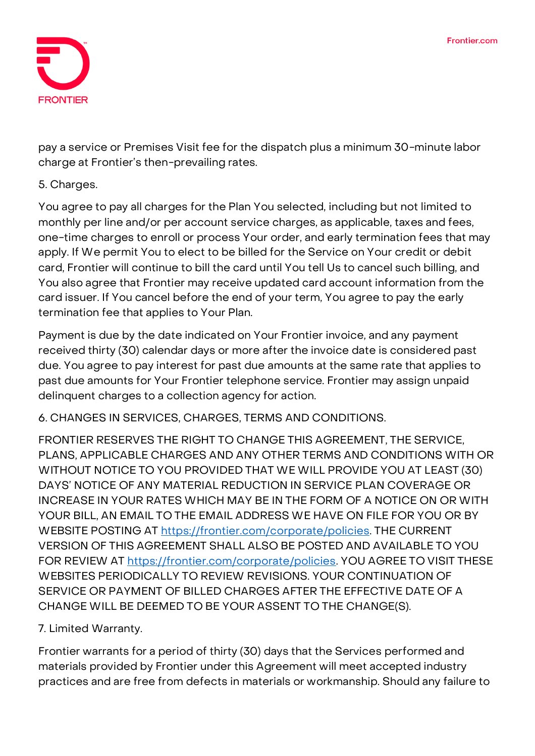

pay a service or Premises Visit fee for the dispatch plus a minimum 30-minute labor charge at Frontier's then-prevailing rates.

#### **5. Charges.**

You agree to pay all charges for the Plan You selected, including but not limited to monthly per line and/or per account service charges, as applicable, taxes and fees, one-time charges to enroll or process Your order, and early termination fees that may apply. If We permit You to elect to be billed for the Service on Your credit or debit card, Frontier will continue to bill the card until You tell Us to cancel such billing, and You also agree that Frontier may receive updated card account information from the card issuer. If You cancel before the end of your term, You agree to pay the early termination fee that applies to Your Plan.

Payment is due by the date indicated on Your Frontier invoice, and any payment received thirty (30) calendar days or more after the invoice date is considered past due. You agree to pay interest for past due amounts at the same rate that applies to past due amounts for Your Frontier telephone service. Frontier may assign unpaid delinquent charges to a collection agency for action.

**6. CHANGES IN SERVICES, CHARGES, TERMS AND CONDITIONS.**

FRONTIER RESERVES THE RIGHT TO CHANGE THIS AGREEMENT, THE SERVICE, PLANS, APPLICABLE CHARGES AND ANY OTHER TERMS AND CONDITIONS WITH OR WITHOUT NOTICE TO YOU PROVIDED THAT WE WILL PROVIDE YOU AT LEAST (30) DAYS' NOTICE OF ANY MATERIAL REDUCTION IN SERVICE PLAN COVERAGE OR INCREASE IN YOUR RATES WHICH MAY BE IN THE FORM OF A NOTICE ON OR WITH YOUR BILL, AN EMAIL TO THE EMAIL ADDRESS WE HAVE ON FILE FOR YOU OR BY WEBSITE POSTING AT **<https://frontier.com/corporate/policies>**. THE CURRENT VERSION OF THIS AGREEMENT SHALL ALSO BE POSTED AND AVAILABLE TO YOU FOR REVIEW AT **<https://frontier.com/corporate/policies>**. YOU AGREE TO VISIT THESE WEBSITES PERIODICALLY TO REVIEW REVISIONS. YOUR CONTINUATION OF SERVICE OR PAYMENT OF BILLED CHARGES AFTER THE EFFECTIVE DATE OF A CHANGE WILL BE DEEMED TO BE YOUR ASSENT TO THE CHANGE(S).

## **7. Limited Warranty.**

Frontier warrants for a period of thirty (30) days that the Services performed and materials provided by Frontier under this Agreement will meet accepted industry practices and are free from defects in materials or workmanship. Should any failure to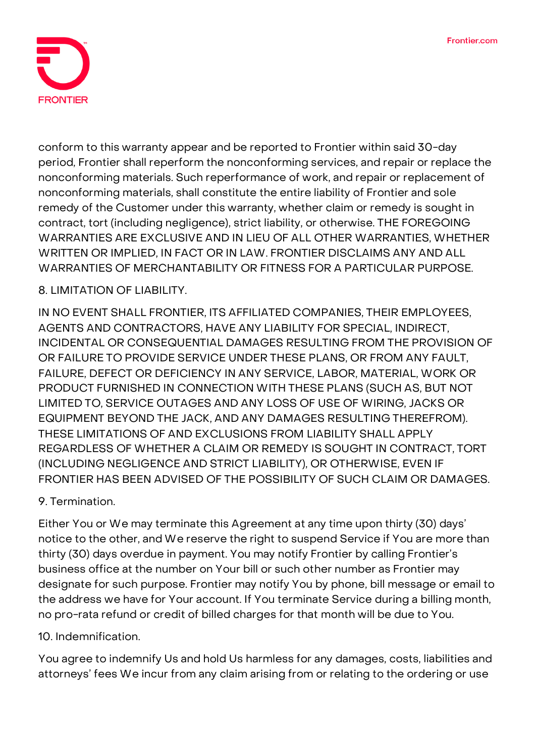

conform to this warranty appear and be reported to Frontier within said 30-day period, Frontier shall reperform the nonconforming services, and repair or replace the nonconforming materials. Such reperformance of work, and repair or replacement of nonconforming materials, shall constitute the entire liability of Frontier and sole remedy of the Customer under this warranty, whether claim or remedy is sought in contract, tort (including negligence), strict liability, or otherwise. THE FOREGOING WARRANTIES ARE EXCLUSIVE AND IN LIEU OF ALL OTHER WARRANTIES, WHETHER WRITTEN OR IMPLIED, IN FACT OR IN LAW. FRONTIER DISCLAIMS ANY AND ALL WARRANTIES OF MERCHANTABILITY OR FITNESS FOR A PARTICULAR PURPOSE.

## **8. LIMITATION OF LIABILITY.**

IN NO EVENT SHALL FRONTIER, ITS AFFILIATED COMPANIES, THEIR EMPLOYEES, AGENTS AND CONTRACTORS, HAVE ANY LIABILITY FOR SPECIAL, INDIRECT, INCIDENTAL OR CONSEQUENTIAL DAMAGES RESULTING FROM THE PROVISION OF OR FAILURE TO PROVIDE SERVICE UNDER THESE PLANS, OR FROM ANY FAULT, FAILURE, DEFECT OR DEFICIENCY IN ANY SERVICE, LABOR, MATERIAL, WORK OR PRODUCT FURNISHED IN CONNECTION WITH THESE PLANS (SUCH AS, BUT NOT LIMITED TO, SERVICE OUTAGES AND ANY LOSS OF USE OF WIRING, JACKS OR EQUIPMENT BEYOND THE JACK, AND ANY DAMAGES RESULTING THEREFROM). THESE LIMITATIONS OF AND EXCLUSIONS FROM LIABILITY SHALL APPLY REGARDLESS OF WHETHER A CLAIM OR REMEDY IS SOUGHT IN CONTRACT, TORT (INCLUDING NEGLIGENCE AND STRICT LIABILITY), OR OTHERWISE, EVEN IF FRONTIER HAS BEEN ADVISED OF THE POSSIBILITY OF SUCH CLAIM OR DAMAGES.

## **9. Termination.**

Either You or We may terminate this Agreement at any time upon thirty (30) days' notice to the other, and We reserve the right to suspend Service if You are more than thirty (30) days overdue in payment. You may notify Frontier by calling Frontier's business office at the number on Your bill or such other number as Frontier may designate for such purpose. Frontier may notify You by phone, bill message or email to the address we have for Your account. If You terminate Service during a billing month, no pro-rata refund or credit of billed charges for that month will be due to You.

## **10. Indemnification.**

You agree to indemnify Us and hold Us harmless for any damages, costs, liabilities and attorneys' fees We incur from any claim arising from or relating to the ordering or use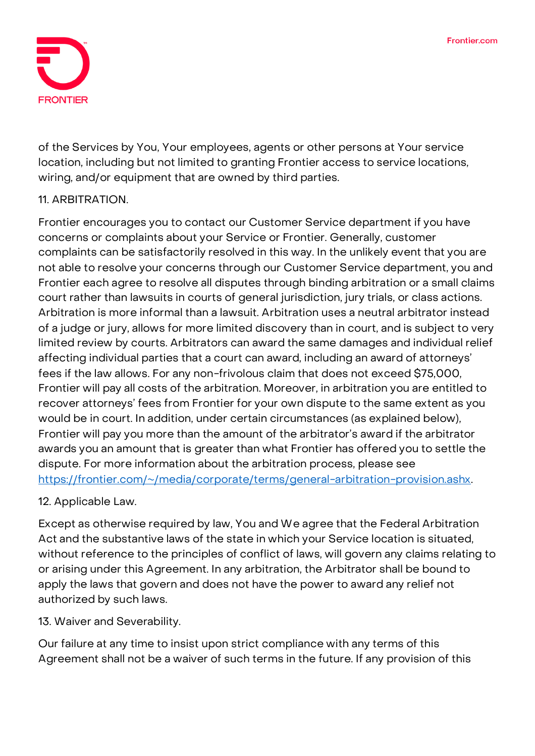

of the Services by You, Your employees, agents or other persons at Your service location, including but not limited to granting Frontier access to service locations, wiring, and/or equipment that are owned by third parties.

## **11. ARBITRATION.**

Frontier encourages you to contact our Customer Service department if you have concerns or complaints about your Service or Frontier. Generally, customer complaints can be satisfactorily resolved in this way. In the unlikely event that you are not able to resolve your concerns through our Customer Service department, you and Frontier each agree to resolve all disputes through binding arbitration or a small claims court rather than lawsuits in courts of general jurisdiction, jury trials, or class actions. Arbitration is more informal than a lawsuit. Arbitration uses a neutral arbitrator instead of a judge or jury, allows for more limited discovery than in court, and is subject to very limited review by courts. Arbitrators can award the same damages and individual relief affecting individual parties that a court can award, including an award of attorneys' fees if the law allows. For any non-frivolous claim that does not exceed \$75,000, Frontier will pay all costs of the arbitration. Moreover, in arbitration you are entitled to recover attorneys' fees from Frontier for your own dispute to the same extent as you would be in court. In addition, under certain circumstances (as explained below), Frontier will pay you more than the amount of the arbitrator's award if the arbitrator awards you an amount that is greater than what Frontier has offered you to settle the dispute. For more information about the arbitration process, please see [https://frontier.com/~/media/corporate/terms/general-arbitration-provision.ashx.](https://frontier.com/~/media/corporate/terms/general-arbitration-provision.ashx)

## **12. Applicable Law.**

Except as otherwise required by law, You and We agree that the Federal Arbitration Act and the substantive laws of the state in which your Service location is situated, without reference to the principles of conflict of laws, will govern any claims relating to or arising under this Agreement. In any arbitration, the Arbitrator shall be bound to apply the laws that govern and does not have the power to award any relief not authorized by such laws.

**13. Waiver and Severability.**

Our failure at any time to insist upon strict compliance with any terms of this Agreement shall not be a waiver of such terms in the future. If any provision of this